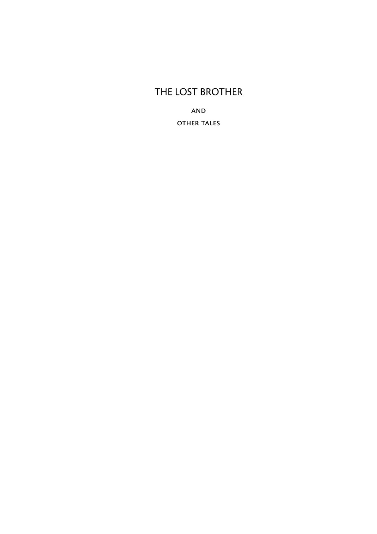### THE LOST BROTHER

and other tales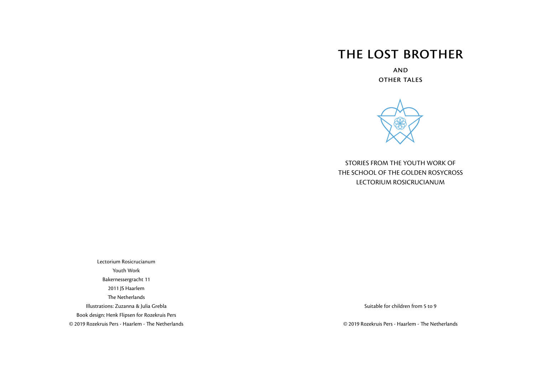# the lost brother

and other tales



STORIES FROM THE YOUTH WORK OF THE SCHOOL OF THE GOLDEN ROSYCROSS LECTORIUM ROSICRUCIANUM

Lectorium Rosicrucianum Youth Work Bakernessergracht 11 2011 JS Haarlem The Netherlands Illustrations: Zuzanna & Julia Grebla Book design: Henk Flipsen for Rozekruis Pers © 2019 Rozekruis Pers - Haarlem - The Netherlands

Suitable for children from 5 to 9

© 2019 Rozekruis Pers - Haarlem - The Netherlands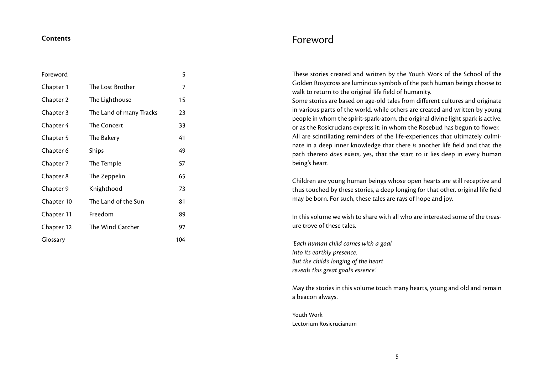#### **Contents**

| Foreword   |                         | 5   |
|------------|-------------------------|-----|
| Chapter 1  | The Lost Brother        | 7   |
| Chapter 2  | The Lighthouse          | 15  |
| Chapter 3  | The Land of many Tracks | 23  |
| Chapter 4  | The Concert             | 33  |
| Chapter 5  | The Bakery              | 41  |
| Chapter 6  | Ships                   | 49  |
| Chapter 7  | The Temple              | 57  |
| Chapter 8  | The Zeppelin            | 65  |
| Chapter 9  | Knighthood              | 73  |
| Chapter 10 | The Land of the Sun     | 81  |
| Chapter 11 | Freedom                 | 89  |
| Chapter 12 | The Wind Catcher        | 97  |
| Glossary   |                         | 104 |

## Foreword

These stories created and written by the Youth Work of the School of the Golden Rosycross are luminous symbols of the path human beings choose to walk to return to the original life field of humanity.

Some stories are based on age-old tales from different cultures and originate in various parts of the world, while others are created and written by young people in whom the spirit-spark-atom, the original divine light spark is active, or as the Rosicrucians express it: in whom the Rosebud has begun to flower. All are scintillating reminders of the life-experiences that ultimately culminate in a deep inner knowledge that there *is* another life field and that the path thereto *does* exists, yes, that the start to it lies deep in every human being's heart.

Children are young human beings whose open hearts are still receptive and thus touched by these stories, a deep longing for that other, original life field may be born. For such, these tales are rays of hope and joy.

In this volume we wish to share with all who are interested some of the treasure trove of these tales.

*'Each human child comes with a goal Into its earthly presence. But the child's longing of the heart reveals this great goal's essence.'*

May the stories in this volume touch many hearts, young and old and remain a beacon always.

Youth Work Lectorium Rosicrucianum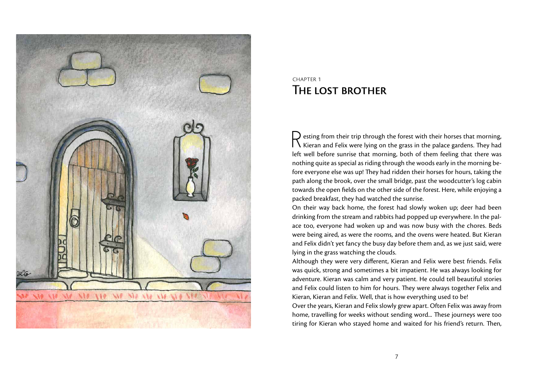

## chapter 1 The lost brother

 $\Box$  esting from their trip through the forest with their horses that morning,  $\bigcup$  Kieran and Felix were lying on the grass in the palace gardens. They had left well before sunrise that morning, both of them feeling that there was nothing quite as special as riding through the woods early in the morning before everyone else was up! They had ridden their horses for hours, taking the path along the brook, over the small bridge, past the woodcutter's log cabin towards the open fields on the other side of the forest. Here, while enjoying a packed breakfast, they had watched the sunrise.

On their way back home, the forest had slowly woken up; deer had been drinking from the stream and rabbits had popped up everywhere. In the palace too, everyone had woken up and was now busy with the chores. Beds were being aired, as were the rooms, and the ovens were heated. But Kieran and Felix didn't yet fancy the busy day before them and, as we just said, were lying in the grass watching the clouds.

Although they were very different, Kieran and Felix were best friends. Felix was quick, strong and sometimes a bit impatient. He was always looking for adventure. Kieran was calm and very patient. He could tell beautiful stories and Felix could listen to him for hours. They were always together Felix and Kieran, Kieran and Felix. Well, that is how everything used to be!

Over the years, Kieran and Felix slowly grew apart. Often Felix was away from home, travelling for weeks without sending word... These journeys were too tiring for Kieran who stayed home and waited for his friend's return. Then,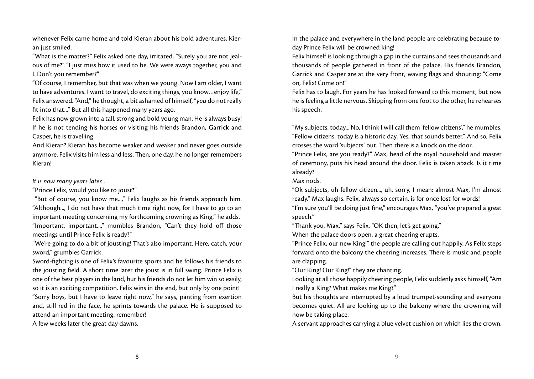whenever Felix came home and told Kieran about his bold adventures, Kieran just smiled.

"What is the matter?" Felix asked one day, irritated, "Surely you are not jealous of me?" "I just miss how it used to be. We were aways together, you and I. Don't you remember?"

"Of course, I remember, but that was when we young. Now I am older, I want to have adventures. I want to travel, do exciting things, you know…enjoy life," Felix answered. "And," he thought, a bit ashamed of himself, "*you* do not really fit into that..." But all this happened many years ago.

Felix has now grown into a tall, strong and bold young man. He is always busy! If he is not tending his horses or visiting his friends Brandon, Garrick and Casper, he is travelling.

And Kieran? Kieran has become weaker and weaker and never goes outside anymore. Felix visits him less and less. Then, one day, he no longer remembers Kieran!

#### *It is now many years later...*

"Prince Felix, would you like to joust?"

 "But of course, you know me...," Felix laughs as his friends approach him. "Although..., I do not have that much time right now, for I have to go to an important meeting concerning my forthcoming crowning as King," he adds. "Important, important...," mumbles Brandon, "Can't they hold off those meetings until Prince Felix is ready?"

"We're going to do a bit of jousting! That's also important. Here, catch, your sword," grumbles Garrick.

Sword-fighting is one of Felix's favourite sports and he follows his friends to the jousting field. A short time later the joust is in full swing. Prince Felix is one of the best players in the land, but his friends do not let him win so easily, so it is an exciting competition. Felix wins in the end, but only by one point! "Sorry boys, but I have to leave right now," he says, panting from exertion and, still red in the face, he sprints towards the palace. He is supposed to attend an important meeting, remember!

A few weeks later the great day dawns.

In the palace and everywhere in the land people are celebrating because today Prince Felix will be crowned king!

Felix himself is looking through a gap in the curtains and sees thousands and thousands of people gathered in front of the palace. His friends Brandon, Garrick and Casper are at the very front, waving flags and shouting: "Come on, Felix! Come on!"

Felix has to laugh. For years he has looked forward to this moment, but now he is feeling a little nervous. Skipping from one foot to the other, he rehearses his speech.

"My subjects, today... No, I think I will call them 'fellow citizens'," he mumbles. "Fellow citizens, today is a historic day. Yes, that sounds better." And so, Felix crosses the word 'subjects' out. Then there is a knock on the door…

"Prince Felix, are you ready?" Max, head of the royal household and master of ceremony, puts his head around the door. Felix is taken aback. Is it time already?

Max nods.

"Ok subjects, uh fellow citizen..., uh, sorry, I mean: almost Max, I'm almost ready." Max laughs. Felix, always so certain, is for once lost for words! "I'm sure you'll be doing just fine," encourages Max, "you've prepared a great speech."

"Thank you, Max," says Felix, "OK then, let's get going."

When the palace doors open, a great cheering erupts.

"Prince Felix, our new King!" the people are calling out happily. As Felix steps forward onto the balcony the cheering increases. There is music and people are clapping.

"Our King! Our King!" they are chanting.

Looking at all those happily cheering people, Felix suddenly asks himself, "Am I really a King? What makes me King?"

But his thoughts are interrupted by a loud trumpet-sounding and everyone becomes quiet. All are looking up to the balcony where the crowning will now be taking place.

A servant approaches carrying a blue velvet cushion on which lies the crown.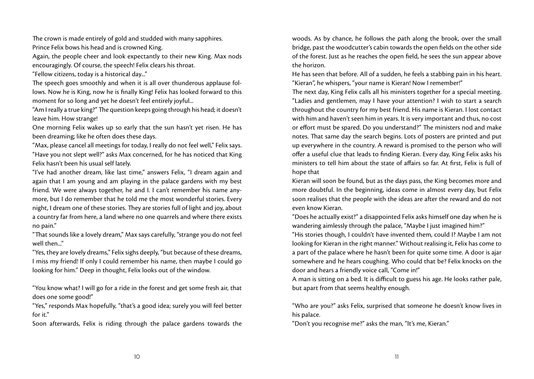The crown is made entirely of gold and studded with many sapphires.

Prince Felix bows his head and is crowned King.

Again, the people cheer and look expectantly to their new King. Max nods encouragingly. Of course, the speech! Felix clears his throat.

"Fellow citizens, today is a historical day..."

The speech goes smoothly and when it is all over thunderous applause follows. Now he is King, now he is finally King! Felix has looked forward to this moment for so long and yet he doesn't feel entirely joyful...

"Am I really a true king?" The question keeps going through his head; it doesn't leave him. How strange!

One morning Felix wakes up so early that the sun hasn't yet risen. He has been dreaming; like he often does these days.

"Max, please cancel all meetings for today, I really do not feel well," Felix says. "Have you not slept well?" asks Max concerned, for he has noticed that King Felix hasn't been his usual self lately.

"I've had another dream, like last time," answers Felix, "I dream again and again that I am young and am playing in the palace gardens with my best friend. We were always together, he and I. I can't remember his name anymore, but I do remember that he told me the most wonderful stories. Every night, I dream one of these stories. They are stories full of light and joy, about a country far from here, a land where no one quarrels and where there exists no pain."

"That sounds like a lovely dream," Max says carefully, "strange you do not feel well then..."

"Yes, they are lovely dreams," Felix sighs deeply, "but because of these dreams, I miss my friend! If only I could remember his name, then maybe I could go looking for him." Deep in thought, Felix looks out of the window.

"You know what? I will go for a ride in the forest and get some fresh air, that does one some good!"

"Yes," responds Max hopefully, "that's a good idea; surely you will feel better for it."

Soon afterwards, Felix is riding through the palace gardens towards the

woods. As by chance, he follows the path along the brook, over the small bridge, past the woodcutter's cabin towards the open fields on the other side of the forest. Just as he reaches the open field, he sees the sun appear above the horizon.

He has seen that before. All of a sudden, he feels a stabbing pain in his heart. "Kieran", he whispers, "your name is Kieran! Now I remember!"

The next day, King Felix calls all his ministers together for a special meeting. "Ladies and gentlemen, may I have your attention? I wish to start a search throughout the country for my best friend. His name is Kieran. I lost contact with him and haven't seen him in years. It is very important and thus, no cost or effort must be spared. Do you understand?" The ministers nod and make notes. That same day the search begins. Lots of posters are printed and put up everywhere in the country. A reward is promised to the person who will offer a useful clue that leads to finding Kieran. Every day, King Felix asks his ministers to tell him about the state of affairs so far. At first, Felix is full of hope that

Kieran will soon be found, but as the days pass, the King becomes more and more doubtful. In the beginning, ideas come in almost every day, but Felix soon realises that the people with the ideas are after the reward and do not even know Kieran.

"Does he actually exist?" a disappointed Felix asks himself one day when he is wandering aimlessly through the palace, "Maybe I just imagined him?"

"His stories though, I couldn't have invented them, could I? Maybe I am not looking for Kieran in the right manner." Without realising it, Felix has come to a part of the palace where he hasn't been for quite some time. A door is ajar somewhere and he hears coughing. Who could that be? Felix knocks on the door and hears a friendly voice call, "Come in!"

A man is sitting on a bed. It is difficult to guess his age. He looks rather pale, but apart from that seems healthy enough.

"Who are you?" asks Felix, surprised that someone he doesn't know lives in his palace.

"Don't you recognise me?" asks the man, "It's me, Kieran."